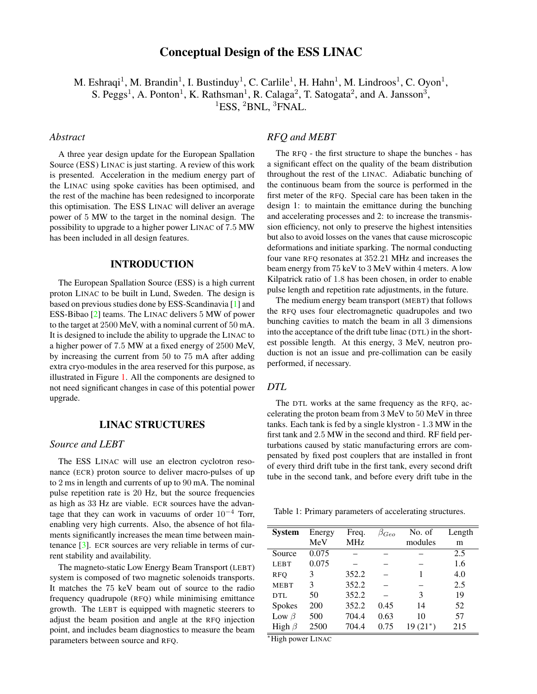# Conceptual Design of the ESS LINAC

M. Eshraqi<sup>1</sup>, M. Brandin<sup>1</sup>, I. Bustinduy<sup>1</sup>, C. Carlile<sup>1</sup>, H. Hahn<sup>1</sup>, M. Lindroos<sup>1</sup>, C. Oyon<sup>1</sup>, S. Peggs<sup>1</sup>, A. Ponton<sup>1</sup>, K. Rathsman<sup>1</sup>, R. Calaga<sup>2</sup>, T. Satogata<sup>2</sup>, and A. Jansson<sup>3</sup>, <sup>1</sup>ESS, <sup>2</sup>BNL, <sup>3</sup>FNAL.

### *Abstract*

A three year design update for the European Spallation Source (ESS) LINAC is just starting. A review of this work is presented. Acceleration in the medium energy part of the LINAC using spoke cavities has been optimised, and the rest of the machine has been redesigned to incorporate this optimisation. The ESS LINAC will deliver an average power of 5 MW to the target in the nominal design. The possibility to upgrade to a higher power LINAC of 7.5 MW has been included in all design features.

### INTRODUCTION

The European Spallation Source (ESS) is a high current proton LINAC to be built in Lund, Sweden. The design is based on previous studies done by ESS-Scandinavia [\[1\]](#page-2-0) and ESS-Bibao [\[2\]](#page-2-1) teams. The LINAC delivers 5 MW of power to the target at 2500 MeV, with a nominal current of 50 mA. It is designed to include the ability to upgrade the LINAC to a higher power of 7.5 MW at a fixed energy of 2500 MeV, by increasing the current from 50 to 75 mA after adding extra cryo-modules in the area reserved for this purpose, as illustrated in Figure [1.](#page-1-0) All the components are designed to not need significant changes in case of this potential power upgrade.

# LINAC STRUCTURES

### *Source and LEBT*

The ESS LINAC will use an electron cyclotron resonance (ECR) proton source to deliver macro-pulses of up to 2 ms in length and currents of up to 90 mA. The nominal pulse repetition rate is 20 Hz, but the source frequencies as high as 33 Hz are viable. ECR sources have the advantage that they can work in vacuums of order  $10^{-4}$  Torr, enabling very high currents. Also, the absence of hot filaments significantly increases the mean time between maintenance [\[3\]](#page-2-2). ECR sources are very reliable in terms of current stability and availability.

The magneto-static Low Energy Beam Transport (LEBT) system is composed of two magnetic solenoids transports. It matches the 75 keV beam out of source to the radio frequency quadrupole (RFQ) while minimising emittance growth. The LEBT is equipped with magnetic steerers to adjust the beam position and angle at the RFQ injection point, and includes beam diagnostics to measure the beam parameters between source and RFQ.

# *RFQ and MEBT*

The RFQ - the first structure to shape the bunches - has a significant effect on the quality of the beam distribution throughout the rest of the LINAC. Adiabatic bunching of the continuous beam from the source is performed in the first meter of the RFQ. Special care has been taken in the design 1: to maintain the emittance during the bunching and accelerating processes and 2: to increase the transmission efficiency, not only to preserve the highest intensities but also to avoid losses on the vanes that cause microscopic deformations and initiate sparking. The normal conducting four vane RFQ resonates at 352.21 MHz and increases the beam energy from 75 keV to 3 MeV within 4 meters. A low Kilpatrick ratio of 1.8 has been chosen, in order to enable pulse length and repetition rate adjustments, in the future.

The medium energy beam transport (MEBT) that follows the RFQ uses four electromagnetic quadrupoles and two bunching cavities to match the beam in all 3 dimensions into the acceptance of the drift tube linac (DTL) in the shortest possible length. At this energy, 3 MeV, neutron production is not an issue and pre-collimation can be easily performed, if necessary.

#### *DTL*

The DTL works at the same frequency as the RFQ, accelerating the proton beam from 3 MeV to 50 MeV in three tanks. Each tank is fed by a single klystron - 1.3 MW in the first tank and 2.5 MW in the second and third. RF field perturbations caused by static manufacturing errors are compensated by fixed post couplers that are installed in front of every third drift tube in the first tank, every second drift tube in the second tank, and before every drift tube in the

Table 1: Primary parameters of accelerating structures.

| <b>System</b> | Energy | Freq.      | $\beta_{Geo}$ | No. of     | Length |
|---------------|--------|------------|---------------|------------|--------|
|               | MeV    | <b>MHz</b> |               | modules    | m      |
| Source        | 0.075  |            |               |            | 2.5    |
| <b>LEBT</b>   | 0.075  |            |               |            | 1.6    |
| <b>RFO</b>    | 3      | 352.2      |               | 1          | 4.0    |
| <b>MEBT</b>   | 3      | 352.2      |               |            | 2.5    |
| DTL           | 50     | 352.2      |               | 3          | 19     |
| <b>Spokes</b> | 200    | 352.2      | 0.45          | 14         | 52     |
| Low $\beta$   | 500    | 704.4      | 0.63          | 10         | 57     |
| High $\beta$  | 2500   | 704.4      | 0.75          | $19(21^*)$ | 215    |

<sup>∗</sup>High power LINAC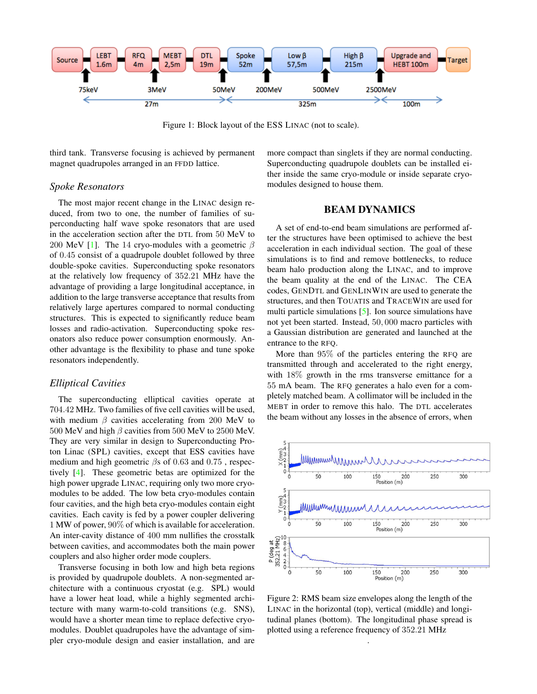

<span id="page-1-0"></span>Figure 1: Block layout of the ESS LINAC (not to scale).

third tank. Transverse focusing is achieved by permanent magnet quadrupoles arranged in an FFDD lattice.

#### *Spoke Resonators*

The most major recent change in the LINAC design reduced, from two to one, the number of families of superconducting half wave spoke resonators that are used in the acceleration section after the DTL from 50 MeV to 200 MeV [\[1\]](#page-2-0). The 14 cryo-modules with a geometric  $\beta$ of 0.45 consist of a quadrupole doublet followed by three double-spoke cavities. Superconducting spoke resonators at the relatively low frequency of 352.21 MHz have the advantage of providing a large longitudinal acceptance, in addition to the large transverse acceptance that results from relatively large apertures compared to normal conducting structures. This is expected to significantly reduce beam losses and radio-activation. Superconducting spoke resonators also reduce power consumption enormously. Another advantage is the flexibility to phase and tune spoke resonators independently.

#### *Elliptical Cavities*

The superconducting elliptical cavities operate at 704.42 MHz. Two families of five cell cavities will be used, with medium  $\beta$  cavities accelerating from 200 MeV to 500 MeV and high  $\beta$  cavities from 500 MeV to 2500 MeV. They are very similar in design to Superconducting Proton Linac (SPL) cavities, except that ESS cavities have medium and high geometric  $\beta$ s of 0.63 and 0.75, respectively [\[4\]](#page-2-3). These geometric betas are optimized for the high power upgrade LINAC, requiring only two more cryomodules to be added. The low beta cryo-modules contain four cavities, and the high beta cryo-modules contain eight cavities. Each cavity is fed by a power coupler delivering 1 MW of power, 90% of which is available for acceleration. An inter-cavity distance of 400 mm nullifies the crosstalk between cavities, and accommodates both the main power couplers and also higher order mode couplers.

Transverse focusing in both low and high beta regions is provided by quadrupole doublets. A non-segmented architecture with a continuous cryostat (e.g. SPL) would have a lower heat load, while a highly segmented architecture with many warm-to-cold transitions (e.g. SNS), would have a shorter mean time to replace defective cryomodules. Doublet quadrupoles have the advantage of simpler cryo-module design and easier installation, and are more compact than singlets if they are normal conducting. Superconducting quadrupole doublets can be installed either inside the same cryo-module or inside separate cryomodules designed to house them.

## BEAM DYNAMICS

A set of end-to-end beam simulations are performed after the structures have been optimised to achieve the best acceleration in each individual section. The goal of these simulations is to find and remove bottlenecks, to reduce beam halo production along the LINAC, and to improve the beam quality at the end of the LINAC. The CEA codes, GENDTL and GENLINWIN are used to generate the structures, and then TOUATIS and TRACEWIN are used for multi particle simulations [\[5\]](#page-2-4). Ion source simulations have not yet been started. Instead, 50, 000 macro particles with a Gaussian distribution are generated and launched at the entrance to the RFQ.

More than 95% of the particles entering the RFQ are transmitted through and accelerated to the right energy, with 18% growth in the rms transverse emittance for a 55 mA beam. The RFQ generates a halo even for a completely matched beam. A collimator will be included in the MEBT in order to remove this halo. The DTL accelerates the beam without any losses in the absence of errors, when



<span id="page-1-1"></span>Figure 2: RMS beam size envelopes along the length of the LINAC in the horizontal (top), vertical (middle) and longitudinal planes (bottom). The longitudinal phase spread is plotted using a reference frequency of 352.21 MHz

.